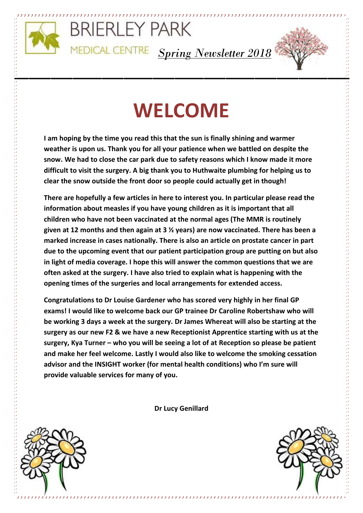

**\_\_\_\_\_\_\_\_\_\_\_\_\_**

## BRIERLEY PARK

*Spring Newsletter 2018*



# **WELCOME**

**I am hoping by the time you read this that the sun is finally shining and warmer weather is upon us. Thank you for all your patience when we battled on despite the snow. We had to close the car park due to safety reasons which I know made it more difficult to visit the surgery. A big thank you to Huthwaite plumbing for helping us to clear the snow outside the front door so people could actually get in though!**

**There are hopefully a few articles in here to interest you. In particular please read the information about measles if you have young children as it is important that all children who have not been vaccinated at the normal ages (The MMR is routinely given at 12 months and then again at 3 ½ years) are now vaccinated. There has been a marked increase in cases nationally. There is also an article on prostate cancer in part due to the upcoming event that our patient participation group are putting on but also in light of media coverage. I hope this will answer the common questions that we are often asked at the surgery. I have also tried to explain what is happening with the opening times of the surgeries and local arrangements for extended access.** 

**Congratulations to Dr Louise Gardener who has scored very highly in her final GP exams! I would like to welcome back our GP trainee Dr Caroline Robertshaw who will be working 3 days a week at the surgery. Dr James Whereat will also be starting at the surgery as our new F2 & we have a new Receptionist Apprentice starting with us at the surgery, Kya Turner – who you will be seeing a lot of at Reception so please be patient and make her feel welcome. Lastly I would also like to welcome the smoking cessation advisor and the INSIGHT worker (for mental health conditions) who I'm sure will provide valuable services for many of you.** 

**Dr Lucy Genillard**

,,,,,,,,,,,,,,,,,,,,,,,,,,,,,,



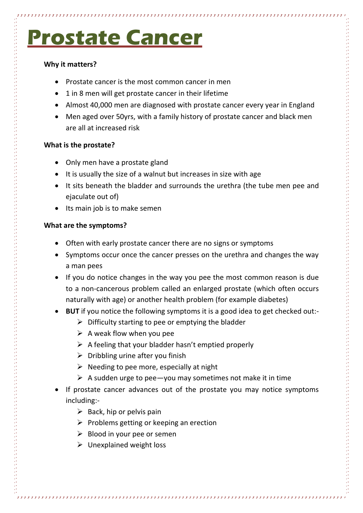# **Prostate Cancer**

### **Why it matters?**

- Prostate cancer is the most common cancer in men
- 1 in 8 men will get prostate cancer in their lifetime
- Almost 40,000 men are diagnosed with prostate cancer every year in England
- Men aged over 50yrs, with a family history of prostate cancer and black men are all at increased risk

#### **What is the prostate?**

- Only men have a prostate gland
- It is usually the size of a walnut but increases in size with age
- It sits beneath the bladder and surrounds the urethra (the tube men pee and ejaculate out of)
- Its main job is to make semen

#### **What are the symptoms?**

- Often with early prostate cancer there are no signs or symptoms
- Symptoms occur once the cancer presses on the urethra and changes the way a man pees
- If you do notice changes in the way you pee the most common reason is due to a non-cancerous problem called an enlarged prostate (which often occurs naturally with age) or another health problem (for example diabetes)
- **BUT** if you notice the following symptoms it is a good idea to get checked out:-
	- $\triangleright$  Difficulty starting to pee or emptying the bladder
	- $\triangleright$  A weak flow when you pee
	- $\triangleright$  A feeling that your bladder hasn't emptied properly
	- $\triangleright$  Dribbling urine after you finish
	- $\triangleright$  Needing to pee more, especially at night
	- $\triangleright$  A sudden urge to pee-you may sometimes not make it in time
- If prostate cancer advances out of the prostate you may notice symptoms including:-
	- $\triangleright$  Back, hip or pelvis pain
	- $\triangleright$  Problems getting or keeping an erection
	- $\triangleright$  Blood in your pee or semen
	- $\triangleright$  Unexplained weight loss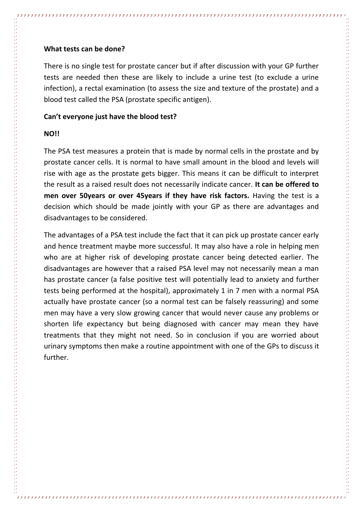#### **What tests can be done?**

There is no single test for prostate cancer but if after discussion with your GP further tests are needed then these are likely to include a urine test (to exclude a urine infection), a rectal examination (to assess the size and texture of the prostate) and a blood test called the PSA (prostate specific antigen).

#### **Can't everyone just have the blood test?**

#### **NO!!**

The PSA test measures a protein that is made by normal cells in the prostate and by prostate cancer cells. It is normal to have small amount in the blood and levels will rise with age as the prostate gets bigger. This means it can be difficult to interpret the result as a raised result does not necessarily indicate cancer. **It can be offered to men over 50years or over 45years if they have risk factors.** Having the test is a decision which should be made jointly with your GP as there are advantages and disadvantages to be considered.

The advantages of a PSA test include the fact that it can pick up prostate cancer early and hence treatment maybe more successful. It may also have a role in helping men who are at higher risk of developing prostate cancer being detected earlier. The disadvantages are however that a raised PSA level may not necessarily mean a man has prostate cancer (a false positive test will potentially lead to anxiety and further tests being performed at the hospital), approximately 1 in 7 men with a normal PSA actually have prostate cancer (so a normal test can be falsely reassuring) and some men may have a very slow growing cancer that would never cause any problems or shorten life expectancy but being diagnosed with cancer may mean they have treatments that they might not need. So in conclusion if you are worried about urinary symptoms then make a routine appointment with one of the GPs to discuss it further.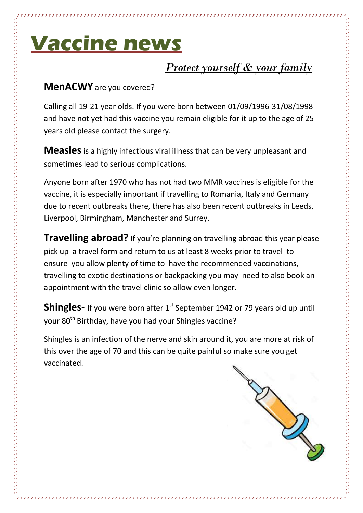# **Vaccine news**

### *Protect yourself & your family*

### **MenACWY** are you covered?

Calling all 19-21 year olds. If you were born between 01/09/1996-31/08/1998 and have not yet had this vaccine you remain eligible for it up to the age of 25 years old please contact the surgery.

**Measles**is a highly infectious viral illness that can be very unpleasant and sometimes lead to serious complications.

Anyone born after 1970 who has not had two MMR vaccines is eligible for the vaccine, it is especially important if travelling to Romania, Italy and Germany due to recent outbreaks there, there has also been recent outbreaks in Leeds, Liverpool, Birmingham, Manchester and Surrey.

**Travelling abroad?** If you're planning on travelling abroad this year please pick up a travel form and return to us at least 8 weeks prior to travel to ensure you allow plenty of time to have the recommended vaccinations, travelling to exotic destinations or backpacking you may need to also book an appointment with the travel clinic so allow even longer.

**Shingles-** If you were born after 1<sup>st</sup> September 1942 or 79 years old up until your 80<sup>th</sup> Birthday, have you had your Shingles vaccine?

Shingles is an infection of the nerve and skin around it, you are more at risk of this over the age of 70 and this can be quite painful so make sure you get vaccinated.

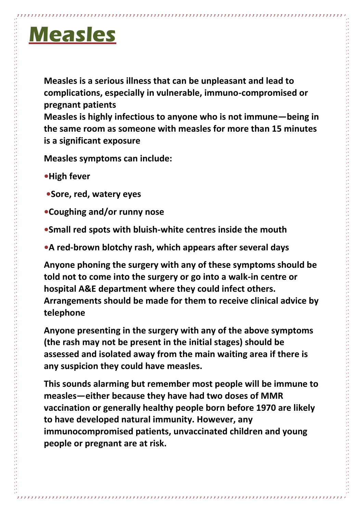# **Measles**

**Measles is a serious illness that can be unpleasant and lead to complications, especially in vulnerable, immuno-compromised or pregnant patients** 

**Measles is highly infectious to anyone who is not immune—being in the same room as someone with measles for more than 15 minutes is a significant exposure** 

**Measles symptoms can include:** 

- **•High fever**
- **•Sore, red, watery eyes**
- **•Coughing and/or runny nose**
- **•Small red spots with bluish-white centres inside the mouth**
- **•A red-brown blotchy rash, which appears after several days**

**Anyone phoning the surgery with any of these symptoms should be told not to come into the surgery or go into a walk-in centre or hospital A&E department where they could infect others. Arrangements should be made for them to receive clinical advice by telephone** 

**Anyone presenting in the surgery with any of the above symptoms (the rash may not be present in the initial stages) should be assessed and isolated away from the main waiting area if there is any suspicion they could have measles.** 

**This sounds alarming but remember most people will be immune to measles—either because they have had two doses of MMR vaccination or generally healthy people born before 1970 are likely to have developed natural immunity. However, any immunocompromised patients, unvaccinated children and young people or pregnant are at risk.**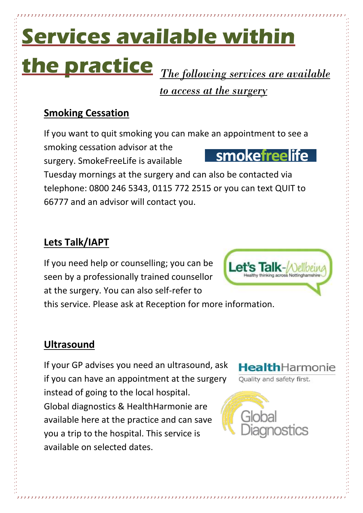# **Services available within the practice** *The following services are available*

*to access at the surgery*

### **Smoking Cessation**

If you want to quit smoking you can make an appointment to see a smoking cessation advisor at the **smokefreelife** surgery. SmokeFreeLife is available

Tuesday mornings at the surgery and can also be contacted via telephone: 0800 246 5343, 0115 772 2515 or you can text QUIT to 66777 and an advisor will contact you.

### **Lets Talk/IAPT**

If you need help or counselling; you can be seen by a professionally trained counsellor at the surgery. You can also self-refer to

this service. Please ask at Reception for more information.

### **Ultrasound**

If your GP advises you need an ultrasound, ask if you can have an appointment at the surgery instead of going to the local hospital. Global diagnostics & HealthHarmonie are available here at the practice and can save you a trip to the hospital. This service is available on selected dates.



Quality and safety first.



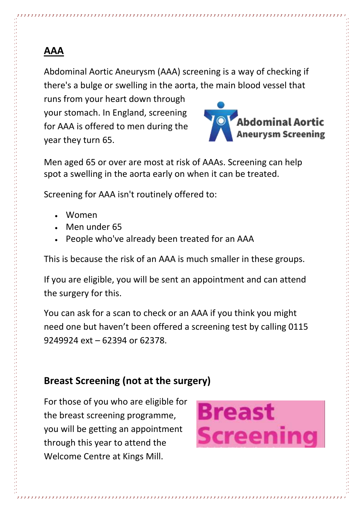### **AAA**

Abdominal Aortic Aneurysm (AAA) screening is a way of checking if there's a bulge or swelling in the aorta, the main blood vessel that

runs from your heart down through your stomach. In England, screening for AAA is offered to men during the year they turn 65.



Men aged 65 or over are most at risk of AAAs. Screening can help spot a swelling in the aorta early on when it can be treated.

Screening for AAA isn't routinely offered to:

- Women
- Men under 65
- People who've already been treated for an AAA

This is because the risk of an AAA is much smaller in these groups.

If you are eligible, you will be sent an appointment and can attend the surgery for this.

You can ask for a scan to check or an AAA if you think you might need one but haven't been offered a screening test by calling 0115 9249924 ext – 62394 or 62378.

### **Breast Screening (not at the surgery)**

For those of you who are eligible for the breast screening programme, you will be getting an appointment through this year to attend the Welcome Centre at Kings Mill.

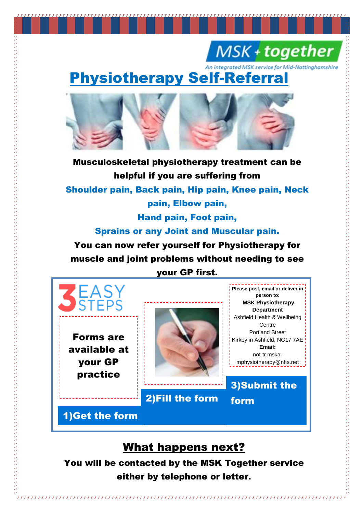### MSK + together

An integrated MSK service for Mid-Nottinghamshire

### Physiotherapy Self-Referral



Musculoskeletal physiotherapy treatment can be helpful if you are suffering from Shoulder pain, Back pain, Hip pain, Knee pain, Neck pain, Elbow pain, Hand pain, Foot pain, Sprains or any Joint and Muscular pain. You can now refer yourself for Physiotherapy for

muscle and joint problems without needing to see

### your GP first.



available at your GP practice



**Please post, email or deliver in person to: MSK Physiotherapy Department**  Ashfield Health & Wellbeing Centre Portland Street Kirkby in Ashfield, NG17 7AE **Email:**  not-tr.mskamphysiotherapy@nhs.net

**Or** 3)Submit the

form

### 2)Fill the form

1)Get the form

### What happens next?

You will be contacted by the MSK Together service either by telephone or letter.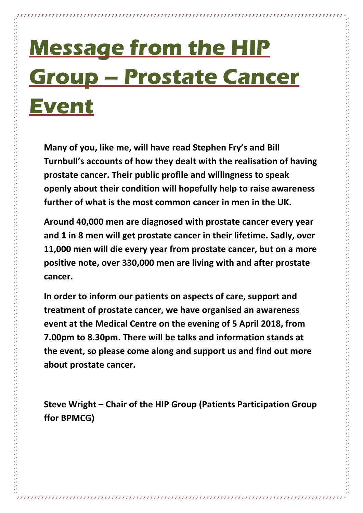# **Message from the HIP Group – Prostate Cancer Event**

**Many of you, like me, will have read Stephen Fry's and Bill Turnbull's accounts of how they dealt with the realisation of having prostate cancer. Their public profile and willingness to speak openly about their condition will hopefully help to raise awareness further of what is the most common cancer in men in the UK.** 

**Around 40,000 men are diagnosed with prostate cancer every year and 1 in 8 men will get prostate cancer in their lifetime. Sadly, over 11,000 men will die every year from prostate cancer, but on a more positive note, over 330,000 men are living with and after prostate cancer.**

**In order to inform our patients on aspects of care, support and treatment of prostate cancer, we have organised an awareness event at the Medical Centre on the evening of 5 April 2018, from 7.00pm to 8.30pm. There will be talks and information stands at the event, so please come along and support us and find out more about prostate cancer.**

**Steve Wright – Chair of the HIP Group (Patients Participation Group ffor BPMCG)**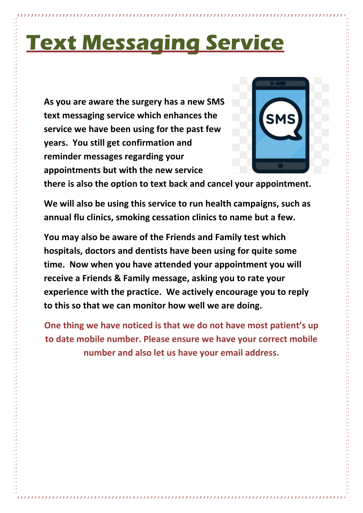# **Text Messaging Service**

**As you are aware the surgery has a new SMS text messaging service which enhances the service we have been using for the past few years. You still get confirmation and reminder messages regarding your appointments but with the new service** 



**there is also the option to text back and cancel your appointment.** 

**We will also be using this service to run health campaigns, such as annual flu clinics, smoking cessation clinics to name but a few.** 

**You may also be aware of the Friends and Family test which hospitals, doctors and dentists have been using for quite some time. Now when you have attended your appointment you will receive a Friends & Family message, asking you to rate your experience with the practice. We actively encourage you to reply to this so that we can monitor how well we are doing.**

**One thing we have noticed is that we do not have most patient's up to date mobile number. Please ensure we have your correct mobile number and also let us have your email address.**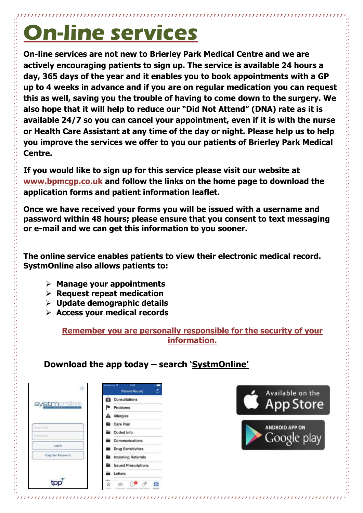# **On-line services**

**On-line services are not new to Brierley Park Medical Centre and we are actively encouraging patients to sign up. The service is available 24 hours a day, 365 days of the year and it enables you to book appointments with a GP up to 4 weeks in advance and if you are on regular medication you can request this as well, saving you the trouble of having to come down to the surgery. We also hope that it will help to reduce our "Did Not Attend" (DNA) rate as it is available 24/7 so you can cancel your appointment, even if it is with the nurse or Health Care Assistant at any time of the day or night. Please help us to help you improve the services we offer to you our patients of Brierley Park Medical Centre.**

**If you would like to sign up for this service please visit our website at [www.bpmcgp.co.uk](http://www.bpmcgp.co.uk/) and follow the links on the home page to download the application forms and patient information leaflet.**

**Once we have received your forms you will be issued with a username and password within 48 hours; please ensure that you consent to text messaging or e-mail and we can get this information to you sooner.**

**The online service enables patients to view their electronic medical record. SystmOnline also allows patients to:**

- **Manage your appointments**
- **Request repeat medication**
- **Update demographic details**
- **Access your medical records**

**Remember you are personally responsible for the security of your information.**

### **Download the app today – search 'SystmOnline'**

| Ö.                 | No Second 19<br>11.33<br><b>Patient Record</b> |
|--------------------|------------------------------------------------|
| <b>systmeming</b>  | <b>Consultations</b>                           |
|                    | Problems                                       |
|                    | Allergies                                      |
| Marriaghan         | Care Plan                                      |
|                    | Coded Info                                     |
|                    | Communications                                 |
| <b>Log</b> in      | <b>Drug Sensitivities</b>                      |
| Forgatten Password | <b>Incoming Referrals</b>                      |
|                    | <b>Issued Prescriptions</b>                    |
|                    | Letters                                        |
|                    | e<br>œ                                         |

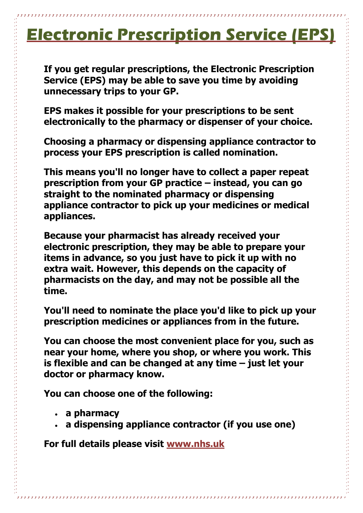### **Electronic Prescription Service (EPS)**

**If you get regular prescriptions, the Electronic Prescription Service (EPS) may be able to save you time by avoiding unnecessary trips to your GP.**

**EPS makes it possible for your prescriptions to be sent electronically to the pharmacy or dispenser of your choice.** 

**Choosing a pharmacy or dispensing appliance contractor to process your EPS prescription is called nomination.**

**This means you'll no longer have to collect a paper repeat prescription from your GP practice – instead, you can go straight to the nominated pharmacy or dispensing appliance contractor to pick up your medicines or medical appliances.**

**Because your pharmacist has already received your electronic prescription, they may be able to prepare your items in advance, so you just have to pick it up with no extra wait. However, this depends on the capacity of pharmacists on the day, and may not be possible all the time.** 

**You'll need to nominate the place you'd like to pick up your prescription medicines or appliances from in the future.** 

**You can choose the most convenient place for you, such as near your home, where you shop, or where you work. This is flexible and can be changed at any time – just let your doctor or pharmacy know.**

**You can choose one of the following:**

- **a pharmacy**
- **a dispensing appliance contractor (if you use one)**

**For full details please visit [www.nhs.uk](http://www.nhs.uk/)**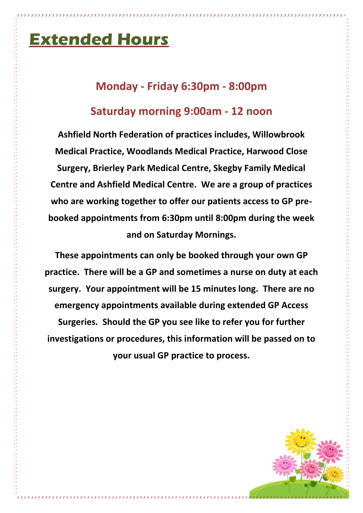### **Extended Hours**

### **Monday - Friday 6:30pm - 8:00pm**

### **Saturday morning 9:00am - 12 noon**

**Ashfield North Federation of practices includes, Willowbrook Medical Practice, Woodlands Medical Practice, Harwood Close Surgery, Brierley Park Medical Centre, Skegby Family Medical Centre and Ashfield Medical Centre. We are a group of practices who are working together to offer our patients access to GP prebooked appointments from 6:30pm until 8:00pm during the week and on Saturday Mornings.**

**These appointments can only be booked through your own GP practice. There will be a GP and sometimes a nurse on duty at each surgery. Your appointment will be 15 minutes long. There are no emergency appointments available during extended GP Access Surgeries. Should the GP you see like to refer you for further investigations or procedures, this information will be passed on to your usual GP practice to process.**